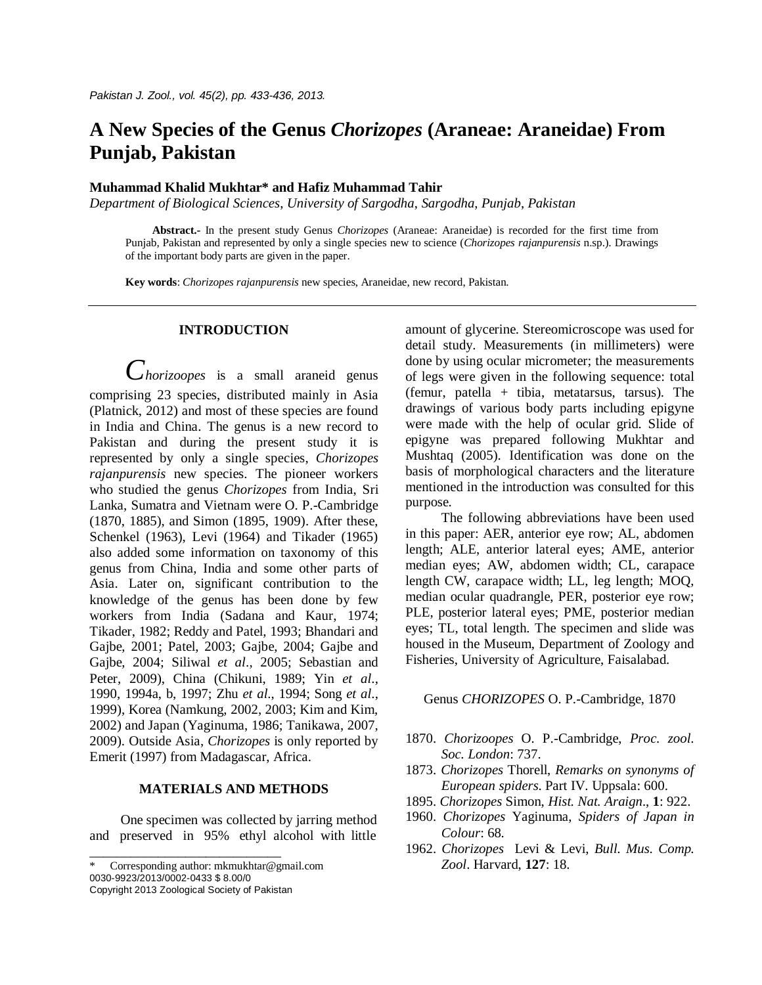# **A New Species of the Genus** *Chorizopes* **(Araneae: Araneidae) From Punjab, Pakistan**

# **Muhammad Khalid Mukhtar\* and Hafiz Muhammad Tahir**

*Department of Biological Sciences*, *University of Sargodha*, *Sargodha*, *Punjab*, *Pakistan*

**Abstract.-** In the present study Genus *Chorizopes* (Araneae: Araneidae) is recorded for the first time from Punjab, Pakistan and represented by only a single species new to science (*Chorizopes rajanpurensis* n.sp.). Drawings of the important body parts are given in the paper.

**Key words**: *Chorizopes rajanpurensis* new species, Araneidae, new record, Pakistan.

# **INTRODUCTION**

*Chorizoopes* is a small araneid genus comprising 23 species, distributed mainly in Asia (Platnick, 2012) and most of these species are found in India and China. The genus is a new record to Pakistan and during the present study it is represented by only a single species, *Chorizopes rajanpurensis* new species. The pioneer workers who studied the genus *Chorizopes* from India, Sri Lanka, Sumatra and Vietnam were O. P.-Cambridge (1870, 1885), and Simon (1895, 1909). After these, Schenkel (1963), Levi (1964) and Tikader (1965) also added some information on taxonomy of this genus from China, India and some other parts of Asia. Later on, significant contribution to the knowledge of the genus has been done by few workers from India (Sadana and Kaur, 1974; Tikader, 1982; Reddy and Patel, 1993; Bhandari and Gajbe, 2001; Patel, 2003; Gajbe, 2004; Gajbe and Gajbe, 2004; Siliwal *et al*., 2005; Sebastian and Peter, 2009), China (Chikuni, 1989; Yin *et al*., 1990, 1994a, b, 1997; Zhu *et al*., 1994; Song *et al*., 1999), Korea (Namkung, 2002, 2003; Kim and Kim, 2002) and Japan (Yaginuma, 1986; Tanikawa, 2007, 2009). Outside Asia, *Chorizopes* is only reported by Emerit (1997) from Madagascar, Africa.

# **MATERIALS AND METHODS**

 One specimen was collected by jarring method and preserved in 95% ethyl alcohol with little

Corresponding author: mkmukhtar@gmail.com 0030-9923/2013/0002-0433 \$ 8.00/0

Copyright 2013 Zoological Society of Pakistan

\_\_\_\_\_\_\_\_\_\_\_\_\_\_\_\_\_\_\_\_\_\_\_\_\_\_\_\_

amount of glycerine. Stereomicroscope was used for detail study. Measurements (in millimeters) were done by using ocular micrometer; the measurements of legs were given in the following sequence: total (femur, patella + tibia, metatarsus, tarsus). The drawings of various body parts including epigyne were made with the help of ocular grid. Slide of epigyne was prepared following Mukhtar and Mushtaq (2005). Identification was done on the basis of morphological characters and the literature mentioned in the introduction was consulted for this purpose.

The following abbreviations have been used in this paper: AER, anterior eye row; AL, abdomen length; ALE, anterior lateral eyes; AME, anterior median eyes; AW, abdomen width; CL, carapace length CW, carapace width; LL, leg length; MOQ, median ocular quadrangle, PER, posterior eye row; PLE, posterior lateral eyes; PME, posterior median eyes; TL, total length. The specimen and slide was housed in the Museum, Department of Zoology and Fisheries, University of Agriculture, Faisalabad.

# Genus *CHORIZOPES* O. P.-Cambridge, 1870

- 1870. *Chorizoopes* O. P.-Cambridge, *Proc. zool. Soc. London*: 737.
- 1873. *Chorizopes* Thorell, *Remarks on synonyms of European spiders*. Part IV. Uppsala: 600.
- 1895. *Chorizopes* Simon, *Hist. Nat. Araign*., **1**: 922.
- 1960. *Chorizopes* Yaginuma, *Spiders of Japan in Colour*: 68.
- 1962. *Chorizopes* Levi & Levi, *Bull. Mus. Comp. Zool*. Harvard, **127**: 18.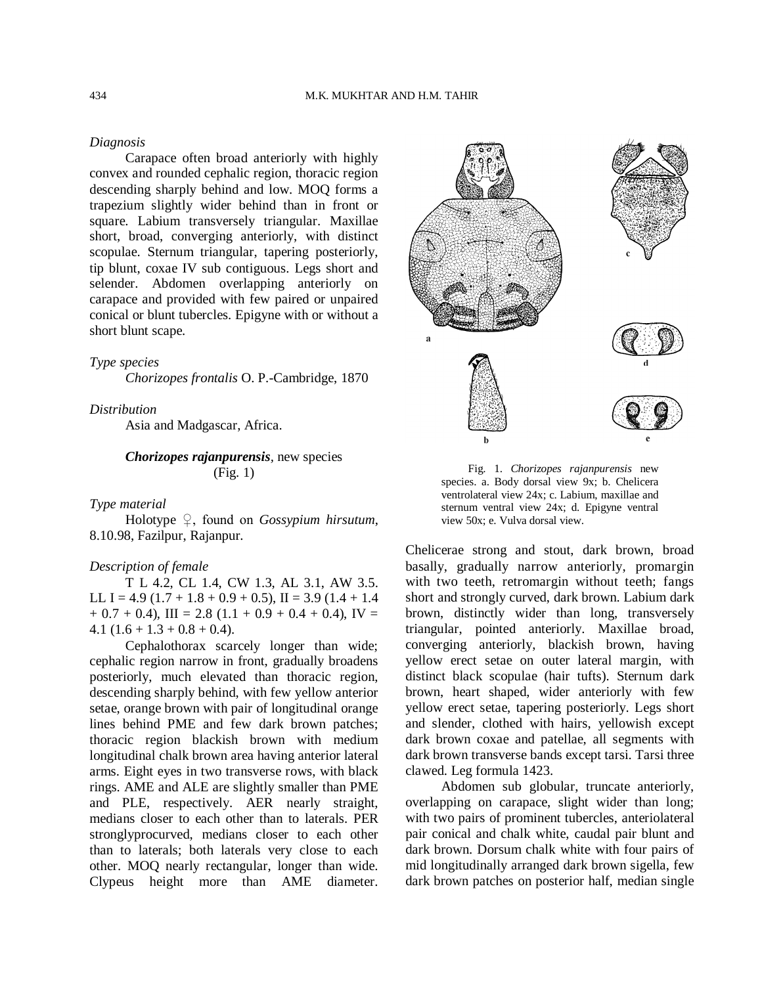# *Diagnosis*

Carapace often broad anteriorly with highly convex and rounded cephalic region, thoracic region descending sharply behind and low. MOQ forms a trapezium slightly wider behind than in front or square. Labium transversely triangular. Maxillae short, broad, converging anteriorly, with distinct scopulae. Sternum triangular, tapering posteriorly, tip blunt, coxae IV sub contiguous. Legs short and selender. Abdomen overlapping anteriorly on carapace and provided with few paired or unpaired conical or blunt tubercles. Epigyne with or without a short blunt scape.

# *Type species*

*Chorizopes frontalis* O. P.-Cambridge, 1870

*Distribution*

Asia and Madgascar, Africa.

# *Chorizopes rajanpurensis,* new species (Fig. 1)

#### *Type material*

Holotype ♀, found on *Gossypium hirsutum*, 8.10.98, Fazilpur, Rajanpur.

### *Description of female*

T L 4.2, CL 1.4, CW 1.3, AL 3.1, AW 3.5. LL I = 4.9 (1.7 + 1.8 + 0.9 + 0.5), II = 3.9 (1.4 + 1.4  $+ 0.7 + 0.4$ ), III = 2.8 (1.1 + 0.9 + 0.4 + 0.4), IV = 4.1  $(1.6 + 1.3 + 0.8 + 0.4)$ .

Cephalothorax scarcely longer than wide; cephalic region narrow in front, gradually broadens posteriorly, much elevated than thoracic region, descending sharply behind, with few yellow anterior setae, orange brown with pair of longitudinal orange lines behind PME and few dark brown patches; thoracic region blackish brown with medium longitudinal chalk brown area having anterior lateral arms. Eight eyes in two transverse rows, with black rings. AME and ALE are slightly smaller than PME and PLE, respectively. AER nearly straight, medians closer to each other than to laterals. PER stronglyprocurved, medians closer to each other than to laterals; both laterals very close to each other. MOQ nearly rectangular, longer than wide. Clypeus height more than AME diameter.



Fig. 1. *Chorizopes rajanpurensis* new species. a. Body dorsal view 9x; b. Chelicera ventrolateral view 24x; c. Labium, maxillae and sternum ventral view 24x; d. Epigyne ventral view 50x; e. Vulva dorsal view.

Chelicerae strong and stout, dark brown, broad basally, gradually narrow anteriorly, promargin with two teeth, retromargin without teeth; fangs short and strongly curved, dark brown. Labium dark brown, distinctly wider than long, transversely triangular, pointed anteriorly. Maxillae broad, converging anteriorly, blackish brown, having yellow erect setae on outer lateral margin, with distinct black scopulae (hair tufts). Sternum dark brown, heart shaped, wider anteriorly with few yellow erect setae, tapering posteriorly. Legs short and slender, clothed with hairs, yellowish except dark brown coxae and patellae, all segments with dark brown transverse bands except tarsi. Tarsi three clawed. Leg formula 1423.

Abdomen sub globular, truncate anteriorly, overlapping on carapace, slight wider than long; with two pairs of prominent tubercles, anteriolateral pair conical and chalk white, caudal pair blunt and dark brown. Dorsum chalk white with four pairs of mid longitudinally arranged dark brown sigella, few dark brown patches on posterior half, median single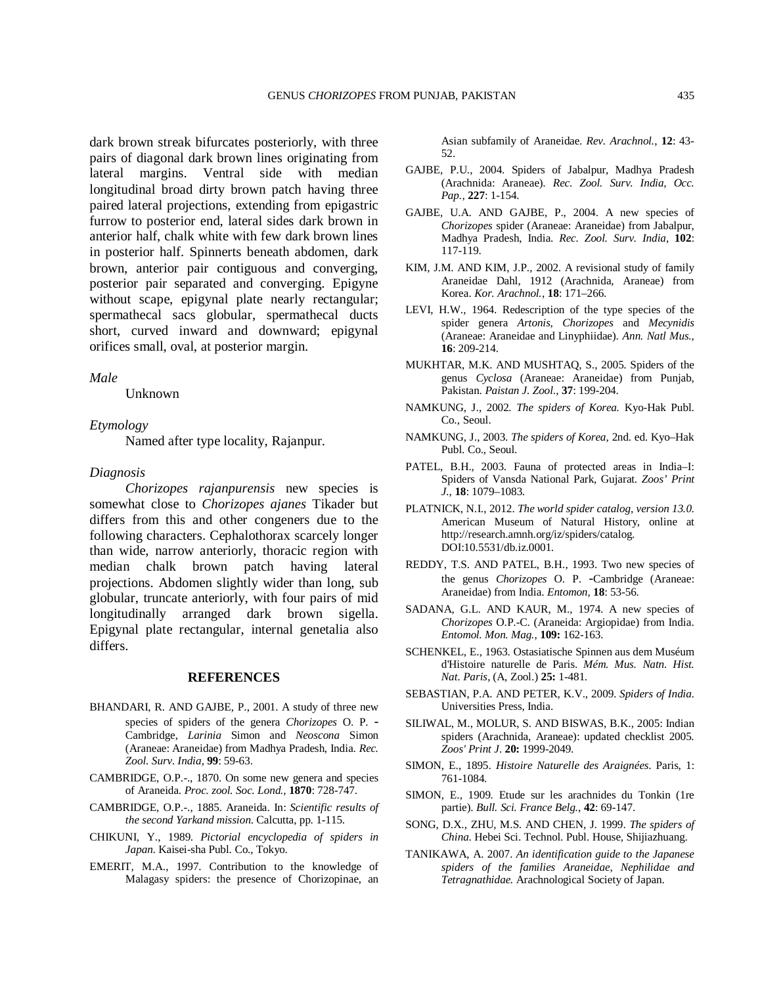dark brown streak bifurcates posteriorly, with three pairs of diagonal dark brown lines originating from lateral margins. Ventral side with median longitudinal broad dirty brown patch having three paired lateral projections, extending from epigastric furrow to posterior end, lateral sides dark brown in anterior half, chalk white with few dark brown lines in posterior half. Spinnerts beneath abdomen, dark brown, anterior pair contiguous and converging, posterior pair separated and converging. Epigyne without scape, epigynal plate nearly rectangular; spermathecal sacs globular, spermathecal ducts short, curved inward and downward; epigynal orifices small, oval, at posterior margin.

### *Male*

Unknown

#### *Etymology*

Named after type locality, Rajanpur.

#### *Diagnosis*

*Chorizopes rajanpurensis* new species is somewhat close to *Chorizopes ajanes* Tikader but differs from this and other congeners due to the following characters. Cephalothorax scarcely longer than wide, narrow anteriorly, thoracic region with median chalk brown patch having lateral projections. Abdomen slightly wider than long, sub globular, truncate anteriorly, with four pairs of mid longitudinally arranged dark brown sigella. Epigynal plate rectangular, internal genetalia also differs.

# **REFERENCES**

- BHANDARI, R. AND GAJBE, P., 2001. A study of three new species of spiders of the genera *Chorizopes* O. P. - Cambridge, *Larinia* Simon and *Neoscona* Simon (Araneae: Araneidae) from Madhya Pradesh, India. *Rec. Zool. Surv. India*, **99**: 59-63.
- CAMBRIDGE, O.P.-., 1870. On some new genera and species of Araneida. *Proc. zool. Soc. Lond.*, **1870**: 728-747.
- CAMBRIDGE, O.P.-., 1885. Araneida. In: *Scientific results of the second Yarkand mission*. Calcutta, pp. 1-115.
- CHIKUNI, Y., 1989. *Pictorial encyclopedia of spiders in Japan*. Kaisei-sha Publ. Co., Tokyo.
- EMERIT, M.A., 1997. Contribution to the knowledge of Malagasy spiders: the presence of Chorizopinae, an

Asian subfamily of Araneidae. *Rev. Arachnol.*, **12**: 43- 52.

- GAJBE, P.U., 2004. Spiders of Jabalpur, Madhya Pradesh (Arachnida: Araneae). *Rec. Zool. Surv. India, Occ. Pap.,* **227**: 1-154.
- GAJBE, U.A. AND GAJBE, P., 2004. A new species of *Chorizopes* spider (Araneae: Araneidae) from Jabalpur, Madhya Pradesh, India. *Rec. Zool. Surv. India*, **102**: 117-119.
- KIM, J.M. AND KIM, J.P., 2002. A revisional study of family Araneidae Dahl, 1912 (Arachnida, Araneae) from Korea. *Kor. Arachnol.*, **18**: 171–266.
- LEVI, H.W., 1964. Redescription of the type species of the spider genera *Artonis*, *Chorizopes* and *Mecynidis* (Araneae: Araneidae and Linyphiidae). *Ann. Natl Mus.*, **16**: 209-214.
- MUKHTAR, M.K. AND MUSHTAQ, S., 2005. Spiders of the genus *Cyclosa* (Araneae: Araneidae) from Punjab, Pakistan. *Paistan J. Zool*., **37**: 199-204.
- NAMKUNG, J., 2002. *The spiders of Korea.* Kyo-Hak Publ. Co., Seoul.
- NAMKUNG, J., 2003. *The spiders of Korea*, 2nd. ed. Kyo–Hak Publ. Co., Seoul.
- PATEL, B.H., 2003. Fauna of protected areas in India–I: Spiders of Vansda National Park, Gujarat. *Zoos' Print J.*, **18**: 1079–1083.
- PLATNICK, N.I., 2012. *The world spider catalog, version 13.0*. American Museum of Natural History, online at http://research.amnh.org/iz/spiders/catalog. DOI:10.5531/db.iz.0001.
- REDDY, T.S. AND PATEL, B.H., 1993. Two new species of the genus *Chorizopes* O. P. -Cambridge (Araneae: Araneidae) from India. *Entomon,* **18**: 53-56.
- SADANA, G.L. AND KAUR, M., 1974. A new species of *Chorizopes* O.P.-C. (Araneida: Argiopidae) from India. *Entomol. Mon. Mag.*, **109:** 162-163.
- SCHENKEL, E., 1963. Ostasiatische Spinnen aus dem Muséum d'Histoire naturelle de Paris. *Mém. Mus. Natn. Hist. Nat. Paris*, (A, Zool.) **25:** 1-481.
- SEBASTIAN, P.A. AND PETER, K.V., 2009. *Spiders of India*. Universities Press, India.
- SILIWAL, M., MOLUR, S. AND BISWAS, B.K., 2005: Indian spiders (Arachnida, Araneae): updated checklist 2005. *Zoos' Print J*. **20:** 1999-2049.
- SIMON, E., 1895. *Histoire Naturelle des Araignées*. Paris, 1: 761-1084.
- SIMON, E., 1909. Etude sur les arachnides du Tonkin (1re partie). *Bull. Sci. France Belg.*, **42**: 69-147.
- SONG, D.X., ZHU, M.S. AND CHEN, J. 1999. *The spiders of China*. Hebei Sci. Technol. Publ. House, Shijiazhuang.
- TANIKAWA, A. 2007. *An identification guide to the Japanese spiders of the families Araneidae, Nephilidae and Tetragnathidae.* Arachnological Society of Japan.